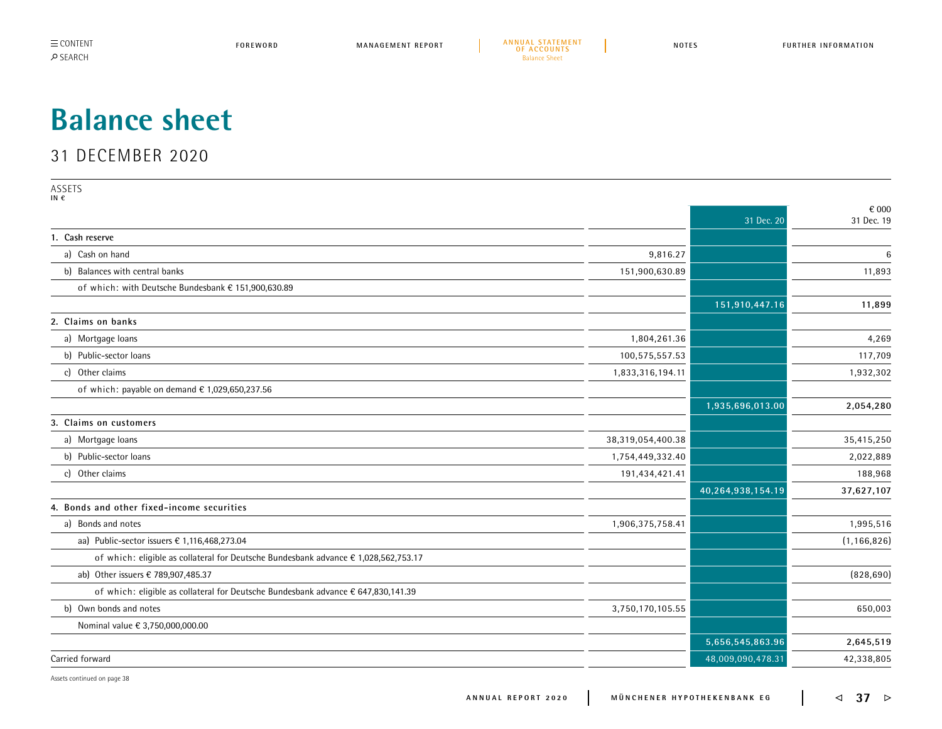**MANAGEMENT REPORT [A N N U A L S TAT E M E N T](#page--1-0)  [OF ACCOUNTS](#page--1-0) FOREWORD NOTES FURTHER INFORMATION** Balance Sheet

## <span id="page-0-0"></span>**Balance sheet**

## 31 DECEMBER 2020

ASSETS **IN €**

| .                                                                                   |                   |                   | € 000         |
|-------------------------------------------------------------------------------------|-------------------|-------------------|---------------|
|                                                                                     |                   | 31 Dec. 20        | 31 Dec. 19    |
| 1. Cash reserve                                                                     |                   |                   |               |
| a) Cash on hand                                                                     | 9,816.27          |                   | 6             |
| b) Balances with central banks                                                      | 151,900,630.89    |                   | 11,893        |
| of which: with Deutsche Bundesbank € 151,900,630.89                                 |                   |                   |               |
|                                                                                     |                   | 151,910,447.16    | 11,899        |
| 2. Claims on banks                                                                  |                   |                   |               |
| a) Mortgage loans                                                                   | 1,804,261.36      |                   | 4,269         |
| b) Public-sector loans                                                              | 100,575,557.53    |                   | 117,709       |
| c) Other claims                                                                     | 1,833,316,194.11  |                   | 1,932,302     |
| of which: payable on demand $\epsilon$ 1,029,650,237.56                             |                   |                   |               |
|                                                                                     |                   | 1,935,696,013.00  | 2,054,280     |
| 3. Claims on customers                                                              |                   |                   |               |
| a) Mortgage loans                                                                   | 38,319,054,400.38 |                   | 35,415,250    |
| b) Public-sector loans                                                              | 1,754,449,332.40  |                   | 2,022,889     |
| c) Other claims                                                                     | 191,434,421.41    |                   | 188,968       |
|                                                                                     |                   | 40,264,938,154.19 | 37,627,107    |
| 4. Bonds and other fixed-income securities                                          |                   |                   |               |
| a) Bonds and notes                                                                  | 1,906,375,758.41  |                   | 1,995,516     |
| aa) Public-sector issuers € 1,116,468,273.04                                        |                   |                   | (1, 166, 826) |
| of which: eligible as collateral for Deutsche Bundesbank advance € 1,028,562,753.17 |                   |                   |               |
| ab) Other issuers € 789,907,485.37                                                  |                   |                   | (828, 690)    |
| of which: eligible as collateral for Deutsche Bundesbank advance € 647,830,141.39   |                   |                   |               |
| b) Own bonds and notes                                                              | 3,750,170,105.55  |                   | 650,003       |
| Nominal value € 3,750,000,000.00                                                    |                   |                   |               |
|                                                                                     |                   | 5,656,545,863.96  | 2,645,519     |
| Carried forward                                                                     |                   | 48,009,090,478.31 | 42,338,805    |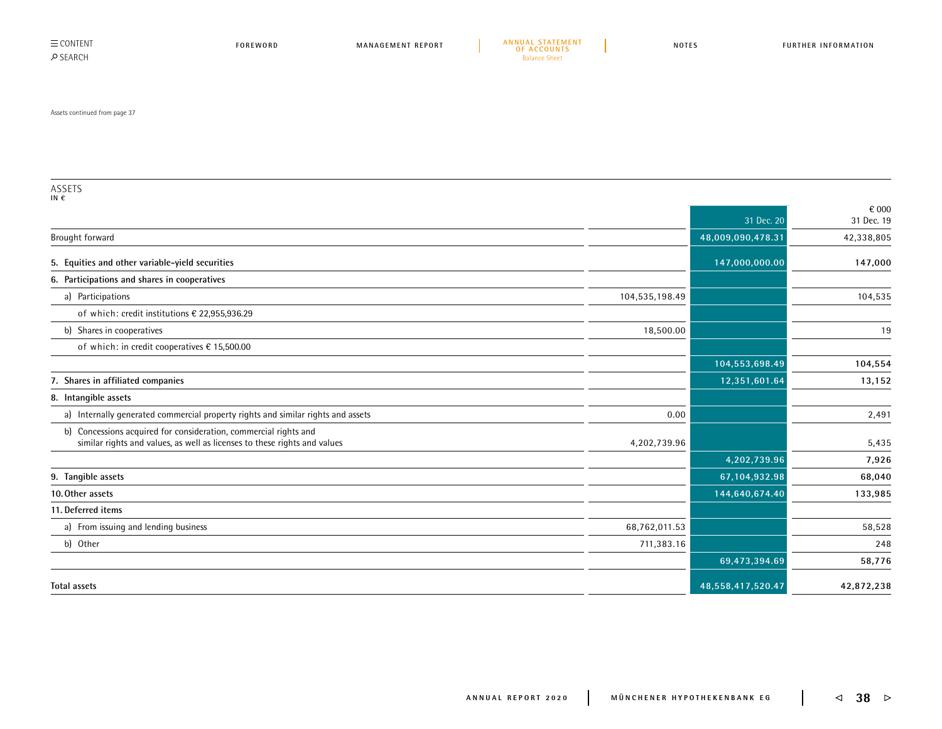$\equiv$  CONTENT SEARCH

Assets continued from page 37

ASSETS **IN €** 31 Dec. 20 € 000 31 Dec. 19 Brought forward **48,009,090,478.31** 42,338,805 **5. Equities and other variable-yield securities 147,000,000.00 147,000 6. Participations and shares in cooperatives** a) Participations 104,535,198.49 104,535 of which: credit institutions € 22,955,936.29 b) Shares in cooperatives **18,500.00** 18,500.00 **18,500.00** 18,500.00 **19,900 19,900 19,900 19,900 19,900 19,900 19,900 19,900 19,900 19,900 19,900 19,900 19,900 19,900 19,900 19,900 19,900 19,900 19,900 19,900 19,900 19,9** of which: in credit cooperatives € 15,500.00 **104,553,698.49 104,554 7. Shares in affiliated companies 12,351,601.64 13,152 8. Intangible assets** a) Internally generated commercial property rights and similar rights and assets **0.00** 2,491 b) Concessions acquired for consideration, commercial rights and similar rights and values, as well as licenses to these rights and values 6.435 F and values 6.435 F and values 5,435 **4,202,739.96 7,926 9. Tangible assets 67,104,932.98 68,040 10.Other assets 144,640,674.40 133,985 11. Deferred items** a) From issuing and lending business 68,762,011.53 58,528 b) Other 711,383.16 248 **69,473,394.69 58,776 Total assets 48,558,417,520.47 42,872,238**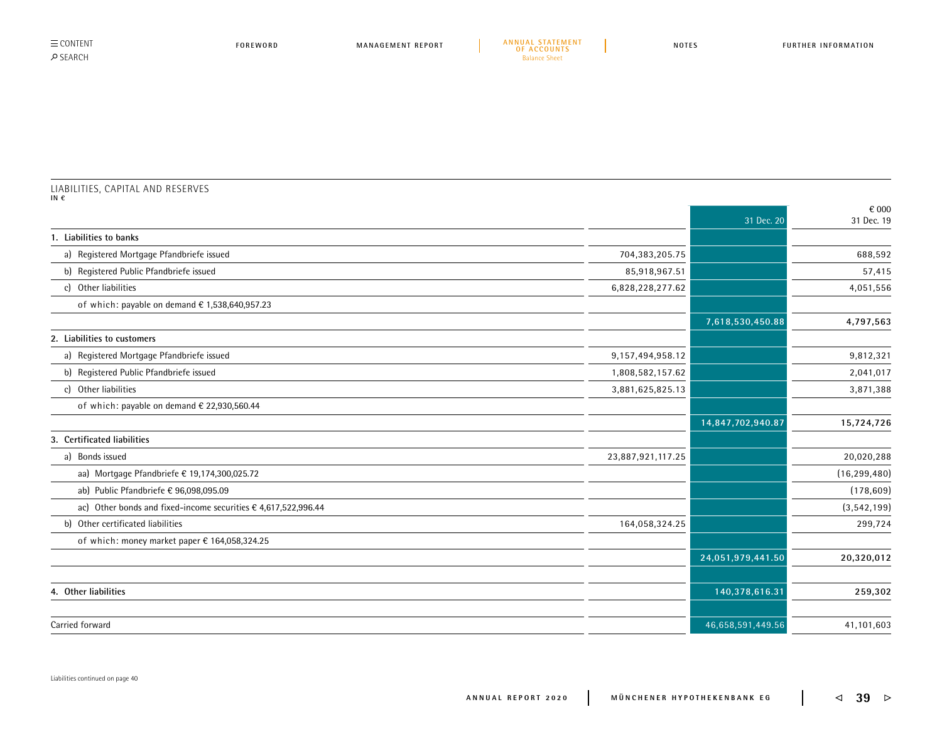| $\equiv$ CONTENT |  |
|------------------|--|
| <b>O SFARCH</b>  |  |

## LIABILITIES, CAPITAL AND RESERVES **IN €**

|                                                                |                   | 31 Dec. 20        | € 000<br>31 Dec. 19 |
|----------------------------------------------------------------|-------------------|-------------------|---------------------|
| 1. Liabilities to banks                                        |                   |                   |                     |
| a) Registered Mortgage Pfandbriefe issued                      | 704,383,205.75    |                   | 688,592             |
| b) Registered Public Pfandbriefe issued                        | 85,918,967.51     |                   | 57,415              |
| c) Other liabilities                                           | 6,828,228,277.62  |                   | 4,051,556           |
| of which: payable on demand $\epsilon$ 1,538,640,957.23        |                   |                   |                     |
|                                                                |                   | 7,618,530,450.88  | 4,797,563           |
| 2. Liabilities to customers                                    |                   |                   |                     |
| a) Registered Mortgage Pfandbriefe issued                      | 9,157,494,958.12  |                   | 9,812,321           |
| b) Registered Public Pfandbriefe issued                        | 1,808,582,157.62  |                   | 2,041,017           |
| c) Other liabilities                                           | 3,881,625,825.13  |                   | 3,871,388           |
| of which: payable on demand € 22,930,560.44                    |                   |                   |                     |
|                                                                |                   | 14,847,702,940.87 | 15,724,726          |
| 3. Certificated liabilities                                    |                   |                   |                     |
| a) Bonds issued                                                | 23,887,921,117.25 |                   | 20,020,288          |
| aa) Mortgage Pfandbriefe € 19,174,300,025.72                   |                   |                   | (16, 299, 480)      |
| ab) Public Pfandbriefe € 96,098,095.09                         |                   |                   | (178, 609)          |
| ac) Other bonds and fixed-income securities € 4,617,522,996.44 |                   |                   | (3, 542, 199)       |
| b) Other certificated liabilities                              | 164,058,324.25    |                   | 299,724             |
| of which: money market paper € 164,058,324.25                  |                   |                   |                     |
|                                                                |                   | 24,051,979,441.50 | 20,320,012          |
| 4. Other liabilities                                           |                   | 140,378,616.31    | 259,302             |
|                                                                |                   |                   |                     |
| Carried forward                                                |                   | 46,658,591,449.56 | 41,101,603          |